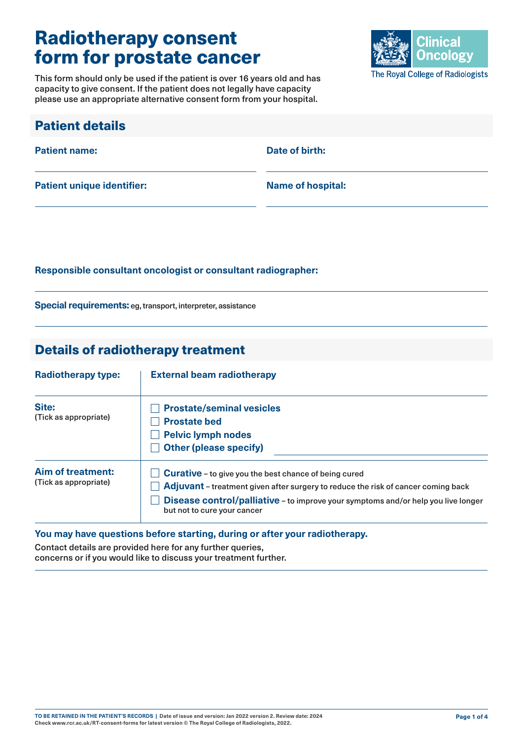# Radiotherapy consent form for prostate cancer

This form should only be used if the patient is over 16 years old and has capacity to give consent. If the patient does not legally have capacity please use an appropriate alternative consent form from your hospital.



| <b>Patient details</b>            |                          |
|-----------------------------------|--------------------------|
| <b>Patient name:</b>              | Date of birth:           |
| <b>Patient unique identifier:</b> | <b>Name of hospital:</b> |

#### **Responsible consultant oncologist or consultant radiographer:**

**Special requirements:** eg, transport, interpreter, assistance

### Details of radiotherapy treatment

| <b>Radiotherapy type:</b>                         | <b>External beam radiotherapy</b>                                                                                                                                                                                                                                     |  |
|---------------------------------------------------|-----------------------------------------------------------------------------------------------------------------------------------------------------------------------------------------------------------------------------------------------------------------------|--|
| Site:<br>(Tick as appropriate)                    | <b>Prostate/seminal vesicles</b><br><b>Prostate bed</b><br><b>Pelvic lymph nodes</b><br><b>Other (please specify)</b>                                                                                                                                                 |  |
| <b>Aim of treatment:</b><br>(Tick as appropriate) | <b>Curative</b> - to give you the best chance of being cured<br>Adjuvant – treatment given after surgery to reduce the risk of cancer coming back<br>Disease control/palliative - to improve your symptoms and/or help you live longer<br>but not to cure your cancer |  |

#### **You may have questions before starting, during or after your radiotherapy.**

Contact details are provided here for any further queries, concerns or if you would like to discuss your treatment further.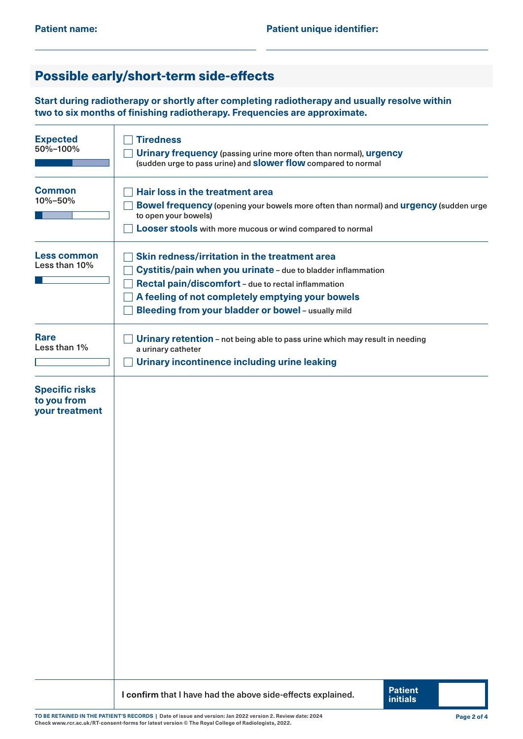## Possible early/short-term side-effects

**Start during radiotherapy or shortly after completing radiotherapy and usually resolve within two to six months of finishing radiotherapy. Frequencies are approximate.**

| <b>Expected</b><br>50%-100%                            | <b>Tiredness</b><br>Urinary frequency (passing urine more often than normal), urgency<br>(sudden urge to pass urine) and <b>Slower flow</b> compared to normal                                                                                                                 |  |  |  |
|--------------------------------------------------------|--------------------------------------------------------------------------------------------------------------------------------------------------------------------------------------------------------------------------------------------------------------------------------|--|--|--|
| <b>Common</b><br>10%-50%                               | Hair loss in the treatment area<br>Bowel frequency (opening your bowels more often than normal) and urgency (sudden urge<br>to open your bowels)<br><b>Looser stools</b> with more mucous or wind compared to normal                                                           |  |  |  |
| <b>Less common</b><br>Less than 10%                    | Skin redness/irritation in the treatment area<br>Cystitis/pain when you urinate - due to bladder inflammation<br>Rectal pain/discomfort - due to rectal inflammation<br>A feeling of not completely emptying your bowels<br>Bleeding from your bladder or bowel - usually mild |  |  |  |
| <b>Rare</b><br>Less than 1%                            | Urinary retention - not being able to pass urine which may result in needing<br>a urinary catheter<br><b>Urinary incontinence including urine leaking</b>                                                                                                                      |  |  |  |
| <b>Specific risks</b><br>to you from<br>your treatment |                                                                                                                                                                                                                                                                                |  |  |  |
|                                                        | <b>Patient</b><br>I confirm that I have had the above side-effects explained.<br><b>initials</b>                                                                                                                                                                               |  |  |  |

**TO BE RETAINED IN THE PATIENT'S RECORDS | Date of issue and version: Jan 2022 version 2. Review date: 2024 Check [www.rcr.ac.uk/RT-consent-forms](http://www.rcr.ac.uk/RT-consent-forms) for latest version © The Royal College of Radiologists, 2022.**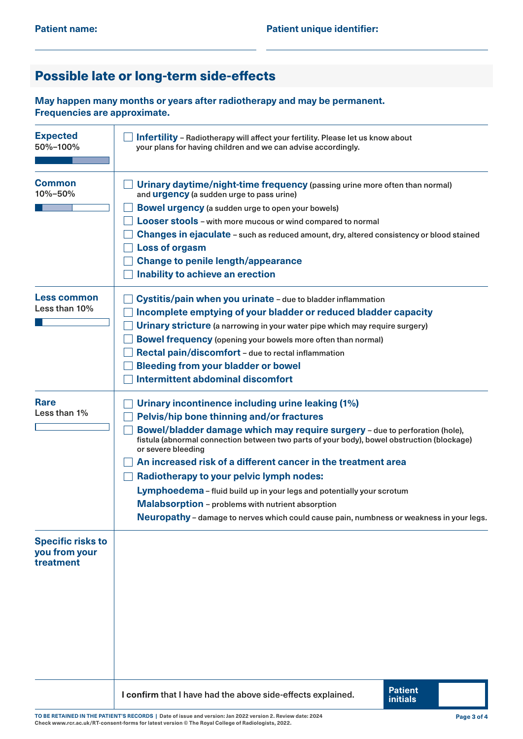## Possible late or long-term side-effects

**May happen many months or years after radiotherapy and may be permanent. Frequencies are approximate.**

| <b>Expected</b><br>50%-100%                            | <b>Infertility</b> - Radiotherapy will affect your fertility. Please let us know about<br>your plans for having children and we can advise accordingly.                                                                                                                                                                                                                                                                                                                                                                                                                                                                                                 |  |  |  |  |
|--------------------------------------------------------|---------------------------------------------------------------------------------------------------------------------------------------------------------------------------------------------------------------------------------------------------------------------------------------------------------------------------------------------------------------------------------------------------------------------------------------------------------------------------------------------------------------------------------------------------------------------------------------------------------------------------------------------------------|--|--|--|--|
| <b>Common</b><br>10%-50%                               | Urinary daytime/night-time frequency (passing urine more often than normal)<br>and <b>urgency</b> (a sudden urge to pass urine)<br><b>Bowel urgency</b> (a sudden urge to open your bowels)<br>Looser stools - with more mucous or wind compared to normal<br><b>Changes in ejaculate - such as reduced amount, dry, altered consistency or blood stained</b><br><b>Loss of orgasm</b><br><b>Change to penile length/appearance</b><br>Inability to achieve an erection                                                                                                                                                                                 |  |  |  |  |
| <b>Less common</b><br>Less than 10%                    | Cystitis/pain when you urinate - due to bladder inflammation<br>Incomplete emptying of your bladder or reduced bladder capacity<br>Urinary stricture (a narrowing in your water pipe which may require surgery)<br><b>Bowel frequency (opening your bowels more often than normal)</b><br>Rectal pain/discomfort - due to rectal inflammation<br><b>Bleeding from your bladder or bowel</b><br><b>Intermittent abdominal discomfort</b>                                                                                                                                                                                                                 |  |  |  |  |
| <b>Rare</b><br>Less than 1%                            | Urinary incontinence including urine leaking (1%)<br>Pelvis/hip bone thinning and/or fractures<br>Bowel/bladder damage which may require surgery - due to perforation (hole),<br>fistula (abnormal connection between two parts of your body), bowel obstruction (blockage)<br>or severe bleeding<br>An increased risk of a different cancer in the treatment area<br>Radiotherapy to your pelvic lymph nodes:<br>Lymphoedema - fluid build up in your legs and potentially your scrotum<br><b>Malabsorption</b> - problems with nutrient absorption<br><b>Neuropathy</b> - damage to nerves which could cause pain, numbness or weakness in your legs. |  |  |  |  |
| <b>Specific risks to</b><br>you from your<br>treatment |                                                                                                                                                                                                                                                                                                                                                                                                                                                                                                                                                                                                                                                         |  |  |  |  |
|                                                        | <b>Patient</b><br>I confirm that I have had the above side-effects explained.<br><b>initials</b>                                                                                                                                                                                                                                                                                                                                                                                                                                                                                                                                                        |  |  |  |  |

**TO BE RETAINED IN THE PATIENT'S RECORDS | Date of issue and version: Jan 2022 version 2. Review date: 2024 Check [www.rcr.ac.uk/RT-consent-forms](http://www.rcr.ac.uk/RT-consent-forms) for latest version © The Royal College of Radiologists, 2022.**